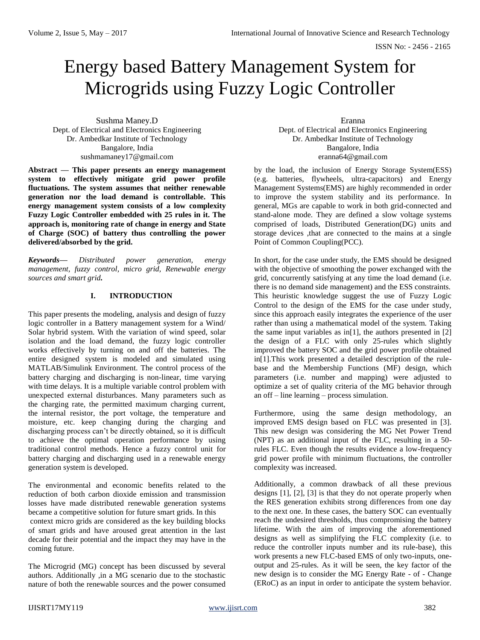ISSN No: - 2456 - 2165

# Energy based Battery Management System for Microgrids using Fuzzy Logic Controller

Sushma Maney.D Dept. of Electrical and Electronics Engineering Dr. Ambedkar Institute of Technology Bangalore, India sushmamaney17@gmail.com

**Abstract — This paper presents an energy management system to effectively mitigate grid power profile fluctuations. The system assumes that neither renewable generation nor the load demand is controllable. This energy management system consists of a low complexity Fuzzy Logic Controller embedded with 25 rules in it. The approach is, monitoring rate of change in energy and State of Charge (SOC) of battery thus controlling the power delivered/absorbed by the grid.** 

*Keywords— Distributed power generation, energy management, fuzzy control, micro grid, Renewable energy sources and smart grid.* 

# **I. INTRODUCTION**

This paper presents the modeling, analysis and design of fuzzy logic controller in a Battery management system for a Wind/ Solar hybrid system. With the variation of wind speed, solar isolation and the load demand, the fuzzy logic controller works effectively by turning on and off the batteries. The entire designed system is modeled and simulated using MATLAB/Simulink Environment. The control process of the battery charging and discharging is non-linear, time varying with time delays. It is a multiple variable control problem with unexpected external disturbances. Many parameters such as the charging rate, the permitted maximum charging current, the internal resistor, the port voltage, the temperature and moisture, etc. keep changing during the charging and discharging process can't be directly obtained, so it is difficult to achieve the optimal operation performance by using traditional control methods. Hence a fuzzy control unit for battery charging and discharging used in a renewable energy generation system is developed.

The environmental and economic benefits related to the reduction of both carbon dioxide emission and transmission losses have made distributed renewable generation systems became a competitive solution for future smart grids. In this context micro grids are considered as the key building blocks of smart grids and have aroused great attention in the last decade for their potential and the impact they may have in the coming future.

The Microgrid (MG) concept has been discussed by several authors. Additionally ,in a MG scenario due to the stochastic nature of both the renewable sources and the power consumed Eranna

Dept. of Electrical and Electronics Engineering Dr. Ambedkar Institute of Technology Bangalore, India eranna64@gmail.com

by the load, the inclusion of Energy Storage System(ESS) (e.g. batteries, flywheels, ultra-capacitors) and Energy Management Systems(EMS) are highly recommended in order to improve the system stability and its performance. In general, MGs are capable to work in both grid-connected and stand-alone mode. They are defined a slow voltage systems comprised of loads, Distributed Generation(DG) units and storage devices ,that are connected to the mains at a single Point of Common Coupling(PCC).

In short, for the case under study, the EMS should be designed with the objective of smoothing the power exchanged with the grid, concurrently satisfying at any time the load demand (i.e. there is no demand side management) and the ESS constraints. This heuristic knowledge suggest the use of Fuzzy Logic Control to the design of the EMS for the case under study, since this approach easily integrates the experience of the user rather than using a mathematical model of the system. Taking the same input variables as in<sup>[1]</sup>, the authors presented in  $[2]$ the design of a FLC with only 25-rules which slightly improved the battery SOC and the grid power profile obtained in[1].This work presented a detailed description of the rulebase and the Membership Functions (MF) design, which parameters (i.e. number and mapping) were adjusted to optimize a set of quality criteria of the MG behavior through an off – line learning – process simulation.

Furthermore, using the same design methodology, an improved EMS design based on FLC was presented in [3]. This new design was considering the MG Net Power Trend (NPT) as an additional input of the FLC, resulting in a 50 rules FLC. Even though the results evidence a low-frequency grid power profile with minimum fluctuations, the controller complexity was increased.

Additionally, a common drawback of all these previous designs [1], [2], [3] is that they do not operate properly when the RES generation exhibits strong differences from one day to the next one. In these cases, the battery SOC can eventually reach the undesired thresholds, thus compromising the battery lifetime. With the aim of improving the aforementioned designs as well as simplifying the FLC complexity (i.e. to reduce the controller inputs number and its rule-base), this work presents a new FLC-based EMS of only two-inputs, oneoutput and 25-rules. As it will be seen, the key factor of the new design is to consider the MG Energy Rate - of - Change (ERoC) as an input in order to anticipate the system behavior.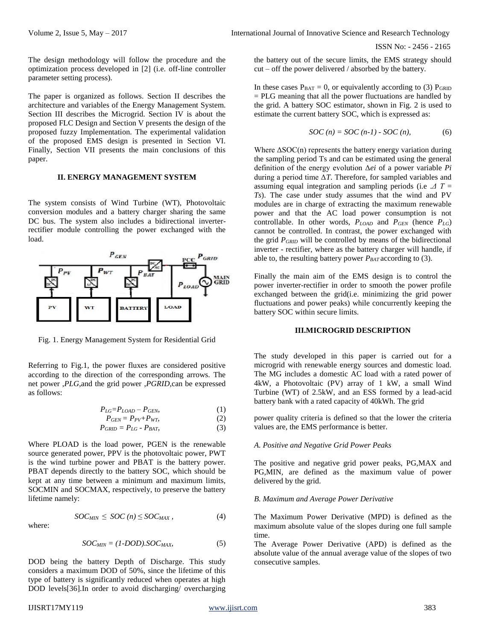The design methodology will follow the procedure and the optimization process developed in [2] (i.e. off-line controller parameter setting process).

The paper is organized as follows. Section II describes the architecture and variables of the Energy Management System. Section III describes the Microgrid. Section IV is about the proposed FLC Design and Section V presents the design of the proposed fuzzy Implementation. The experimental validation of the proposed EMS design is presented in Section VI. Finally, Section VII presents the main conclusions of this paper.

#### **II. ENERGY MANAGEMENT SYSTEM**

The system consists of Wind Turbine (WT), Photovoltaic conversion modules and a battery charger sharing the same DC bus. The system also includes a bidirectional inverterrectifier module controlling the power exchanged with the load.



Fig. 1. Energy Management System for Residential Grid

Referring to Fig.1, the power fluxes are considered positive according to the direction of the corresponding arrows. The net power ,*PLG*,and the grid power ,*PGRID*,can be expressed as follows:

$$
P_{LG} = P_{LOAD} - P_{GEN},\tag{1}
$$

$$
P_{GEN} = P_{PV} + P_{WT},\tag{2}
$$

$$
P_{GRID} = P_{LG} - P_{BAT},\tag{3}
$$

Where PLOAD is the load power, PGEN is the renewable source generated power, PPV is the photovoltaic power, PWT is the wind turbine power and PBAT is the battery power. PBAT depends directly to the battery SOC, which should be kept at any time between a minimum and maximum limits, SOCMIN and SOCMAX, respectively, to preserve the battery lifetime namely:

where:

$$
f_{\rm{max}}(x)=\frac{1}{2}x
$$

 $SOC_{MIN} \leq SOC(n) \leq SOC_{MAX}$ , (4)

$$
SOC_{MIN} = (1-DOD).SOC_{MAX}, \tag{5}
$$

DOD being the battery Depth of Discharge. This study considers a maximum DOD of 50%, since the lifetime of this type of battery is significantly reduced when operates at high DOD levels[36].In order to avoid discharging/ overcharging

the battery out of the secure limits, the EMS strategy should cut – off the power delivered / absorbed by the battery.

In these cases  $P_{BAT} = 0$ , or equivalently according to (3)  $P_{GRID}$ = PLG meaning that all the power fluctuations are handled by the grid. A battery SOC estimator, shown in Fig. 2 is used to estimate the current battery SOC, which is expressed as:

$$
SOC(n) = SOC(n-1) - SOC(n),
$$
 (6)

Where  $\Delta SOC(n)$  represents the battery energy variation during the sampling period Ts and can be estimated using the general definition of the energy evolution Δ*ei* of a power variable *Pi*  during a period time Δ*T*. Therefore, for sampled variables and assuming equal integration and sampling periods (i.e .*Δ T* = *Ts*). The case under study assumes that the wind and PV modules are in charge of extracting the maximum renewable power and that the AC load power consumption is not controllable. In other words,  $P_{LOAD}$  and  $P_{GEN}$  (hence  $P_{LG}$ ) cannot be controlled. In contrast, the power exchanged with the grid *PGRID* will be controlled by means of the bidirectional inverter - rectifier, where as the battery charger will handle, if able to, the resulting battery power  $P_{BAT}$  according to (3).

Finally the main aim of the EMS design is to control the power inverter-rectifier in order to smooth the power profile exchanged between the grid(i.e. minimizing the grid power fluctuations and power peaks) while concurrently keeping the battery SOC within secure limits.

#### **III.MICROGRID DESCRIPTION**

The study developed in this paper is carried out for a microgrid with renewable energy sources and domestic load. The MG includes a domestic AC load with a rated power of 4kW, a Photovoltaic (PV) array of 1 kW, a small Wind Turbine (WT) of 2.5kW, and an ESS formed by a lead-acid battery bank with a rated capacity of 40kWh. The grid

power quality criteria is defined so that the lower the criteria values are, the EMS performance is better.

#### *A. Positive and Negative Grid Power Peaks*

The positive and negative grid power peaks, PG,MAX and PG,MIN, are defined as the maximum value of power delivered by the grid.

#### *B. Maximum and Average Power Derivative*

The Maximum Power Derivative (MPD) is defined as the maximum absolute value of the slopes during one full sample time.

The Average Power Derivative (APD) is defined as the absolute value of the annual average value of the slopes of two consecutive samples.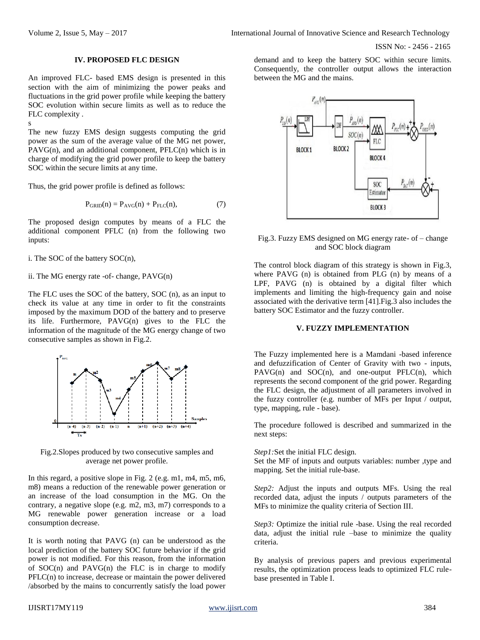#### **IV. PROPOSED FLC DESIGN**

An improved FLC- based EMS design is presented in this section with the aim of minimizing the power peaks and fluctuations in the grid power profile while keeping the battery SOC evolution within secure limits as well as to reduce the FLC complexity .

s

The new fuzzy EMS design suggests computing the grid power as the sum of the average value of the MG net power,  $PAVG(n)$ , and an additional component,  $PFLC(n)$  which is in charge of modifying the grid power profile to keep the battery SOC within the secure limits at any time.

Thus, the grid power profile is defined as follows:

$$
P_{\text{GRID}}(n) = P_{\text{AVG}}(n) + P_{\text{FLC}}(n),\tag{7}
$$

The proposed design computes by means of a FLC the additional component PFLC (n) from the following two inputs:

i. The SOC of the battery SOC(n),

ii. The MG energy rate -of- change*,* PAVG(n)

The FLC uses the SOC of the battery, SOC (n), as an input to check its value at any time in order to fit the constraints imposed by the maximum DOD of the battery and to preserve its life. Furthermore, PAVG(n) gives to the FLC the information of the magnitude of the MG energy change of two consecutive samples as shown in Fig.2.



Fig.2.Slopes produced by two consecutive samples and average net power profile.

In this regard, a positive slope in Fig. 2 (e.g. m1, m4, m5, m6, m8) means a reduction of the renewable power generation or an increase of the load consumption in the MG. On the contrary, a negative slope (e.g. m2, m3, m7) corresponds to a MG renewable power generation increase or a load consumption decrease.

It is worth noting that PAVG (n) can be understood as the local prediction of the battery SOC future behavior if the grid power is not modified. For this reason, from the information of  $SOC(n)$  and  $PAVG(n)$  the FLC is in charge to modify PFLC(n) to increase, decrease or maintain the power delivered /absorbed by the mains to concurrently satisfy the load power demand and to keep the battery SOC within secure limits. Consequently, the controller output allows the interaction between the MG and the mains.



Fig.3. Fuzzy EMS designed on MG energy rate- of – change and SOC block diagram

The control block diagram of this strategy is shown in Fig.3, where PAVG (n) is obtained from PLG (n) by means of a LPF, PAVG (n) is obtained by a digital filter which implements and limiting the high-frequency gain and noise associated with the derivative term [41].Fig.3 also includes the battery SOC Estimator and the fuzzy controller.

#### **V. FUZZY IMPLEMENTATION**

The Fuzzy implemented here is a Mamdani -based inference and defuzzification of Center of Gravity with two - inputs,  $PAVG(n)$  and  $SOC(n)$ , and one-output  $PFLC(n)$ , which represents the second component of the grid power. Regarding the FLC design, the adjustment of all parameters involved in the fuzzy controller (e.g. number of MFs per Input / output, type, mapping, rule - base).

The procedure followed is described and summarized in the next steps:

*Step1:*Set the initial FLC design.

Set the MF of inputs and outputs variables: number ,type and mapping. Set the initial rule-base.

*Step2:* Adjust the inputs and outputs MFs. Using the real recorded data, adjust the inputs / outputs parameters of the MFs to minimize the quality criteria of Section III.

*Step3:* Optimize the initial rule -base. Using the real recorded data, adjust the initial rule –base to minimize the quality criteria.

By analysis of previous papers and previous experimental results, the optimization process leads to optimized FLC rulebase presented in Table I.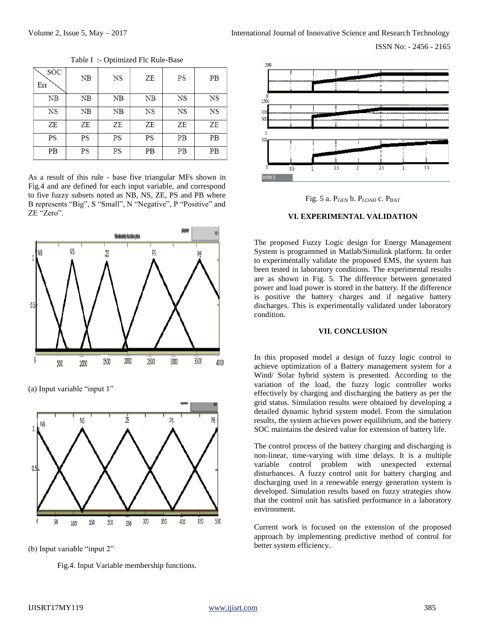| <b>SOC</b><br>Err | NB | <b>NS</b> | ZΕ        | PS        | <b>PB</b> |
|-------------------|----|-----------|-----------|-----------|-----------|
| NB                | NB | NB        | NB        | <b>NS</b> | NS        |
| NS                | NB | NB        | <b>NS</b> | <b>NS</b> | <b>NS</b> |
| ZΕ                | ZΕ | ZE        | ZΕ        | ZΕ        | ZΕ        |
| <b>PS</b>         | PS | PS        | PS        | PВ        | PВ        |
| PB                | PS | PS        | <b>PB</b> | <b>PB</b> | <b>PB</b> |

Table I :- Optimized Flc Rule-Base

As a result of this rule - base five triangular MFs shown in Fig.4 and are defined for each input variable, and correspond to five fuzzy subsets noted as NB, NS, ZE, PS and PB where B represents "Big", S "Small", N "Negative", P "Positive" and ZE "Zero".



(a) Input variable "input 1"



(b) Input variable "input 2"

Fig.4. Input Variable membership functions.





## **VI. EXPERIMENTAL VALIDATION**

The proposed Fuzzy Logic design for Energy Management System is programmed in Matlab/Simulink platform. In order to experimentally validate the proposed EMS, the system has been tested in laboratory conditions. The experimental results are as shown in Fig. 5. The difference between generated power and load power is stored in the battery. If the difference is positive the battery charges and if negative battery discharges. This is experimentally validated under laboratory condition.

## **VII. CONCLUSION**

In this proposed model a design of fuzzy logic control to achieve optimization of a Battery management system for a Wind/ Solar hybrid system is presented. According to the variation of the load, the fuzzy logic controller works effectively by charging and discharging the battery as per the grid status. Simulation results were obtained by developing a detailed dynamic hybrid system model. From the simulation results, the system achieves power equilibrium, and the battery SOC maintains the desired value for extension of battery life.

The control process of the battery charging and discharging is non-linear, time-varying with time delays. It is a multiple variable control problem with unexpected external disturbances. A fuzzy control unit for battery charging and discharging used in a renewable energy generation system is developed. Simulation results based on fuzzy strategies show that the control unit has satisfied performance in a laboratory environment.

Current work is focused on the extension of the proposed approach by implementing predictive method of control for better system efficiency.